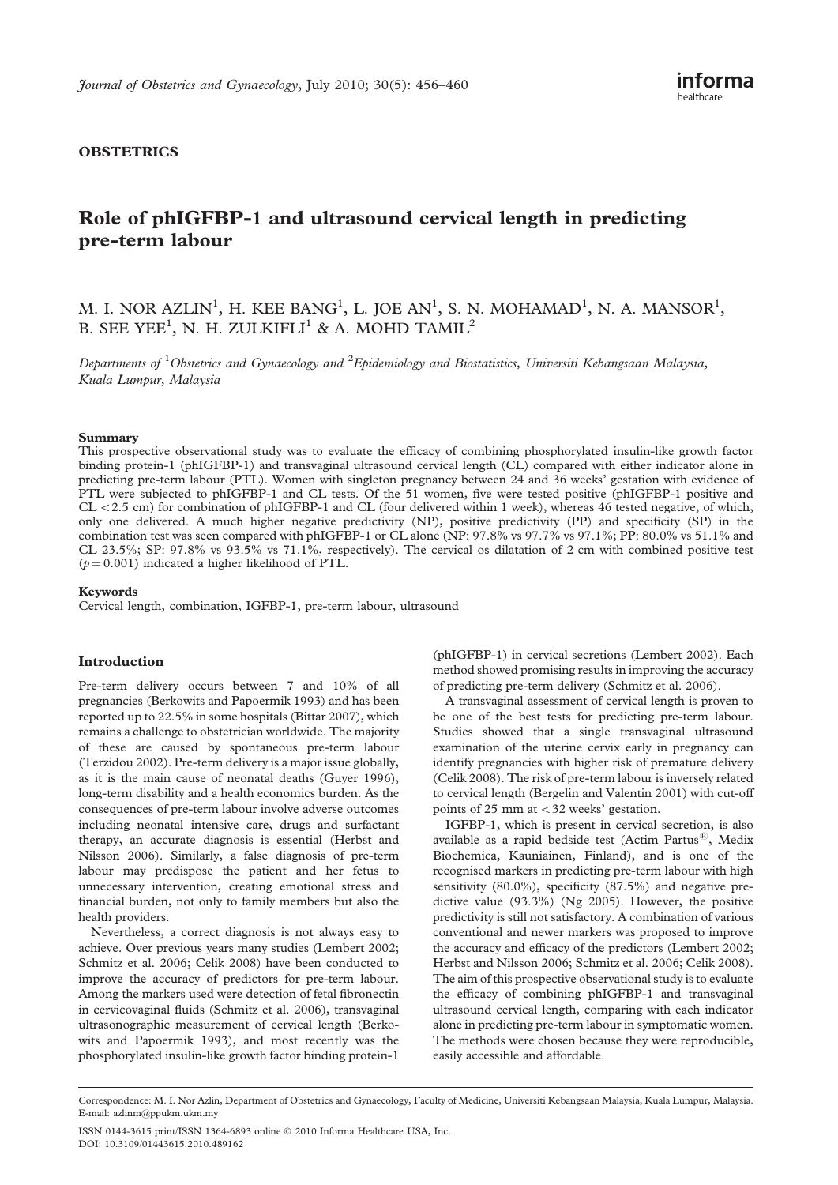# **OBSTETRICS**

# Role of phIGFBP-1 and ultrasound cervical length in predicting pre-term labour

M. I. NOR AZLIN<sup>1</sup>, H. KEE BANG<sup>1</sup>, L. JOE AN<sup>1</sup>, S. N. MOHAMAD<sup>1</sup>, N. A. MANSOR<sup>1</sup>, B. SEE YEE<sup>1</sup>, N. H. ZULKIFLI<sup>1</sup> & A. MOHD TAMIL<sup>2</sup>

Departments of <sup>1</sup>Obstetrics and Gynaecology and <sup>2</sup>Epidemiology and Biostatistics, Universiti Kebangsaan Malaysia, Kuala Lumpur, Malaysia

#### Summary

This prospective observational study was to evaluate the efficacy of combining phosphorylated insulin-like growth factor binding protein-1 (phIGFBP-1) and transvaginal ultrasound cervical length (CL) compared with either indicator alone in predicting pre-term labour (PTL). Women with singleton pregnancy between 24 and 36 weeks' gestation with evidence of PTL were subjected to phIGFBP-1 and CL tests. Of the 51 women, five were tested positive (phIGFBP-1 positive and  $CL < 2.5$  cm) for combination of phIGFBP-1 and CL (four delivered within 1 week), whereas 46 tested negative, of which, only one delivered. A much higher negative predictivity (NP), positive predictivity (PP) and specificity (SP) in the combination test was seen compared with phIGFBP-1 or CL alone (NP: 97.8% vs 97.7% vs 97.1%; PP: 80.0% vs 51.1% and CL 23.5%; SP: 97.8% vs 93.5% vs 71.1%, respectively). The cervical os dilatation of 2 cm with combined positive test  $(p = 0.001)$  indicated a higher likelihood of PTL.

#### Keywords

Cervical length, combination, IGFBP-1, pre-term labour, ultrasound

# Introduction

Pre-term delivery occurs between 7 and 10% of all pregnancies (Berkowits and Papoermik 1993) and has been reported up to 22.5% in some hospitals (Bittar 2007), which remains a challenge to obstetrician worldwide. The majority of these are caused by spontaneous pre-term labour (Terzidou 2002). Pre-term delivery is a major issue globally, as it is the main cause of neonatal deaths (Guyer 1996), long-term disability and a health economics burden. As the consequences of pre-term labour involve adverse outcomes including neonatal intensive care, drugs and surfactant therapy, an accurate diagnosis is essential (Herbst and Nilsson 2006). Similarly, a false diagnosis of pre-term labour may predispose the patient and her fetus to unnecessary intervention, creating emotional stress and financial burden, not only to family members but also the health providers.

Nevertheless, a correct diagnosis is not always easy to achieve. Over previous years many studies (Lembert 2002; Schmitz et al. 2006; Celik 2008) have been conducted to improve the accuracy of predictors for pre-term labour. Among the markers used were detection of fetal fibronectin in cervicovaginal fluids (Schmitz et al. 2006), transvaginal ultrasonographic measurement of cervical length (Berkowits and Papoermik 1993), and most recently was the phosphorylated insulin-like growth factor binding protein-1

(phIGFBP-1) in cervical secretions (Lembert 2002). Each method showed promising results in improving the accuracy of predicting pre-term delivery (Schmitz et al. 2006).

A transvaginal assessment of cervical length is proven to be one of the best tests for predicting pre-term labour. Studies showed that a single transvaginal ultrasound examination of the uterine cervix early in pregnancy can identify pregnancies with higher risk of premature delivery (Celik 2008). The risk of pre-term labour is inversely related to cervical length (Bergelin and Valentin 2001) with cut-off points of 25 mm at  $<$  32 weeks' gestation.

IGFBP-1, which is present in cervical secretion, is also available as a rapid bedside test (Actim Partus $^{(8)}$ , Medix Biochemica, Kauniainen, Finland), and is one of the recognised markers in predicting pre-term labour with high sensitivity (80.0%), specificity (87.5%) and negative predictive value (93.3%) (Ng 2005). However, the positive predictivity is still not satisfactory. A combination of various conventional and newer markers was proposed to improve the accuracy and efficacy of the predictors (Lembert 2002; Herbst and Nilsson 2006; Schmitz et al. 2006; Celik 2008). The aim of this prospective observational study is to evaluate the efficacy of combining phIGFBP-1 and transvaginal ultrasound cervical length, comparing with each indicator alone in predicting pre-term labour in symptomatic women. The methods were chosen because they were reproducible, easily accessible and affordable.

Correspondence: M. I. Nor Azlin, Department of Obstetrics and Gynaecology, Faculty of Medicine, Universiti Kebangsaan Malaysia, Kuala Lumpur, Malaysia. E-mail: azlinm@ppukm.ukm.my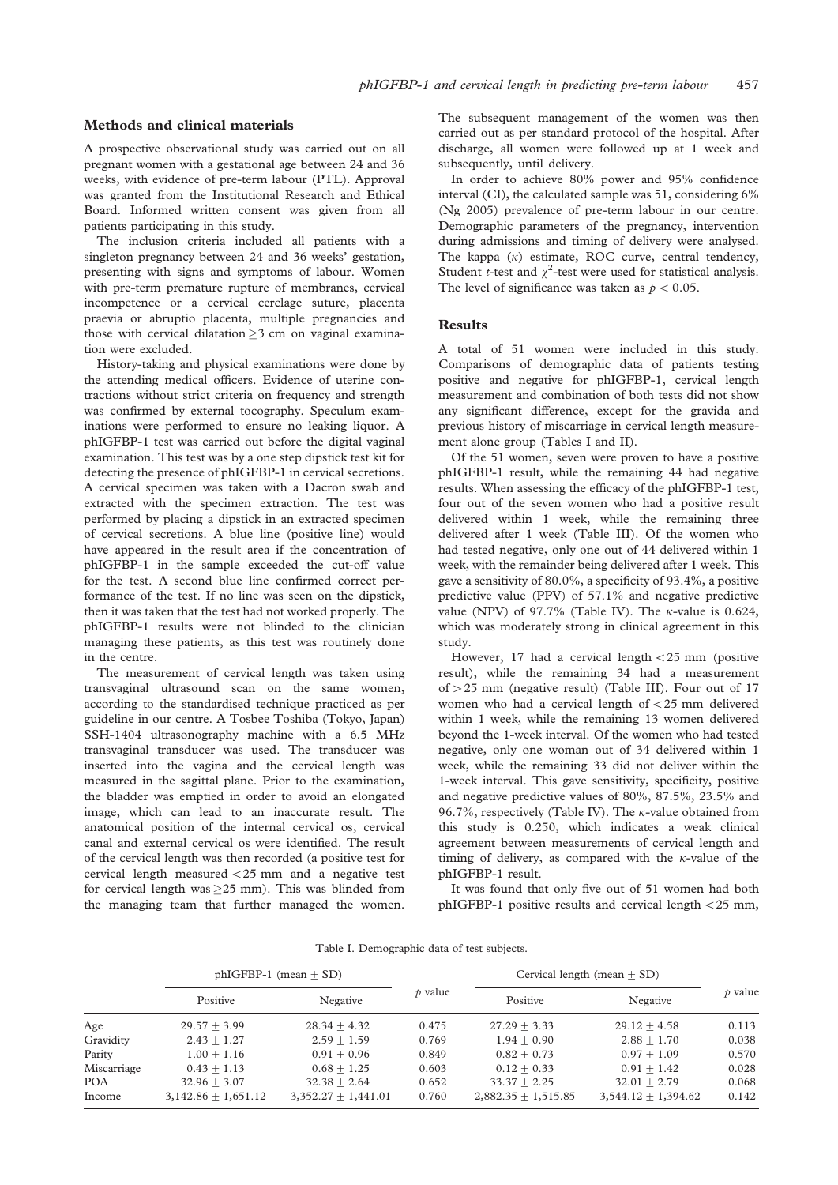#### Methods and clinical materials

A prospective observational study was carried out on all pregnant women with a gestational age between 24 and 36 weeks, with evidence of pre-term labour (PTL). Approval was granted from the Institutional Research and Ethical Board. Informed written consent was given from all patients participating in this study.

The inclusion criteria included all patients with a singleton pregnancy between 24 and 36 weeks' gestation, presenting with signs and symptoms of labour. Women with pre-term premature rupture of membranes, cervical incompetence or a cervical cerclage suture, placenta praevia or abruptio placenta, multiple pregnancies and those with cervical dilatation  $\geq$ 3 cm on vaginal examination were excluded.

History-taking and physical examinations were done by the attending medical officers. Evidence of uterine contractions without strict criteria on frequency and strength was confirmed by external tocography. Speculum examinations were performed to ensure no leaking liquor. A phIGFBP-1 test was carried out before the digital vaginal examination. This test was by a one step dipstick test kit for detecting the presence of phIGFBP-1 in cervical secretions. A cervical specimen was taken with a Dacron swab and extracted with the specimen extraction. The test was performed by placing a dipstick in an extracted specimen of cervical secretions. A blue line (positive line) would have appeared in the result area if the concentration of phIGFBP-1 in the sample exceeded the cut-off value for the test. A second blue line confirmed correct performance of the test. If no line was seen on the dipstick, then it was taken that the test had not worked properly. The phIGFBP-1 results were not blinded to the clinician managing these patients, as this test was routinely done in the centre.

The measurement of cervical length was taken using transvaginal ultrasound scan on the same women, according to the standardised technique practiced as per guideline in our centre. A Tosbee Toshiba (Tokyo, Japan) SSH-1404 ultrasonography machine with a 6.5 MHz transvaginal transducer was used. The transducer was inserted into the vagina and the cervical length was measured in the sagittal plane. Prior to the examination, the bladder was emptied in order to avoid an elongated image, which can lead to an inaccurate result. The anatomical position of the internal cervical os, cervical canal and external cervical os were identified. The result of the cervical length was then recorded (a positive test for cervical length measured  $<$  25 mm and a negative test for cervical length was  $\geq$ 25 mm). This was blinded from the managing team that further managed the women.

The subsequent management of the women was then carried out as per standard protocol of the hospital. After discharge, all women were followed up at 1 week and subsequently, until delivery.

In order to achieve 80% power and 95% confidence interval (CI), the calculated sample was 51, considering 6% (Ng 2005) prevalence of pre-term labour in our centre. Demographic parameters of the pregnancy, intervention during admissions and timing of delivery were analysed. The kappa  $(\kappa)$  estimate, ROC curve, central tendency, Student *t*-test and  $\chi^2$ -test were used for statistical analysis. The level of significance was taken as  $p < 0.05$ .

## Results

A total of 51 women were included in this study. Comparisons of demographic data of patients testing positive and negative for phIGFBP-1, cervical length measurement and combination of both tests did not show any significant difference, except for the gravida and previous history of miscarriage in cervical length measurement alone group (Tables I and II).

Of the 51 women, seven were proven to have a positive phIGFBP-1 result, while the remaining 44 had negative results. When assessing the efficacy of the phIGFBP-1 test, four out of the seven women who had a positive result delivered within 1 week, while the remaining three delivered after 1 week (Table III). Of the women who had tested negative, only one out of 44 delivered within 1 week, with the remainder being delivered after 1 week. This gave a sensitivity of 80.0%, a specificity of 93.4%, a positive predictive value (PPV) of 57.1% and negative predictive value (NPV) of 97.7% (Table IV). The  $\kappa$ -value is 0.624, which was moderately strong in clinical agreement in this study.

However, 17 had a cervical length  $<$  25 mm (positive result), while the remaining 34 had a measurement of  $>$  25 mm (negative result) (Table III). Four out of 17 women who had a cervical length of  $<$  25 mm delivered within 1 week, while the remaining 13 women delivered beyond the 1-week interval. Of the women who had tested negative, only one woman out of 34 delivered within 1 week, while the remaining 33 did not deliver within the 1-week interval. This gave sensitivity, specificity, positive and negative predictive values of 80%, 87.5%, 23.5% and 96.7%, respectively (Table IV). The  $\kappa$ -value obtained from this study is 0.250, which indicates a weak clinical agreement between measurements of cervical length and timing of delivery, as compared with the  $\kappa$ -value of the phIGFBP-1 result.

It was found that only five out of 51 women had both phIGFBP-1 positive results and cervical length  $<$  25 mm,

|  | Table I. Demographic data of test subjects. |  |  |
|--|---------------------------------------------|--|--|
|--|---------------------------------------------|--|--|

|             | $phIGFBP-1$ (mean $+$ SD) |                       |                    | Cervical length (mean $+$ SD) |                       |              |
|-------------|---------------------------|-----------------------|--------------------|-------------------------------|-----------------------|--------------|
|             | Positive                  | Negative              | $\not\text{value}$ | Positive                      | Negative              | $\rho$ value |
| Age         | $29.57 + 3.99$            | $28.34 + 4.32$        | 0.475              | $27.29 + 3.33$                | $29.12 + 4.58$        | 0.113        |
| Gravidity   | $2.43 \pm 1.27$           | $2.59 + 1.59$         | 0.769              | $1.94 + 0.90$                 | $2.88 + 1.70$         | 0.038        |
| Parity      | $1.00 + 1.16$             | $0.91 + 0.96$         | 0.849              | $0.82 + 0.73$                 | $0.97 + 1.09$         | 0.570        |
| Miscarriage | $0.43 + 1.13$             | $0.68 + 1.25$         | 0.603              | $0.12 + 0.33$                 | $0.91 + 1.42$         | 0.028        |
| <b>POA</b>  | $32.96 + 3.07$            | $32.38 + 2.64$        | 0.652              | $33.37 + 2.25$                | $32.01 + 2.79$        | 0.068        |
| Income      | $3,142.86 + 1,651.12$     | $3,352.27 + 1,441.01$ | 0.760              | $2,882.35 + 1,515.85$         | $3,544.12 + 1,394.62$ | 0.142        |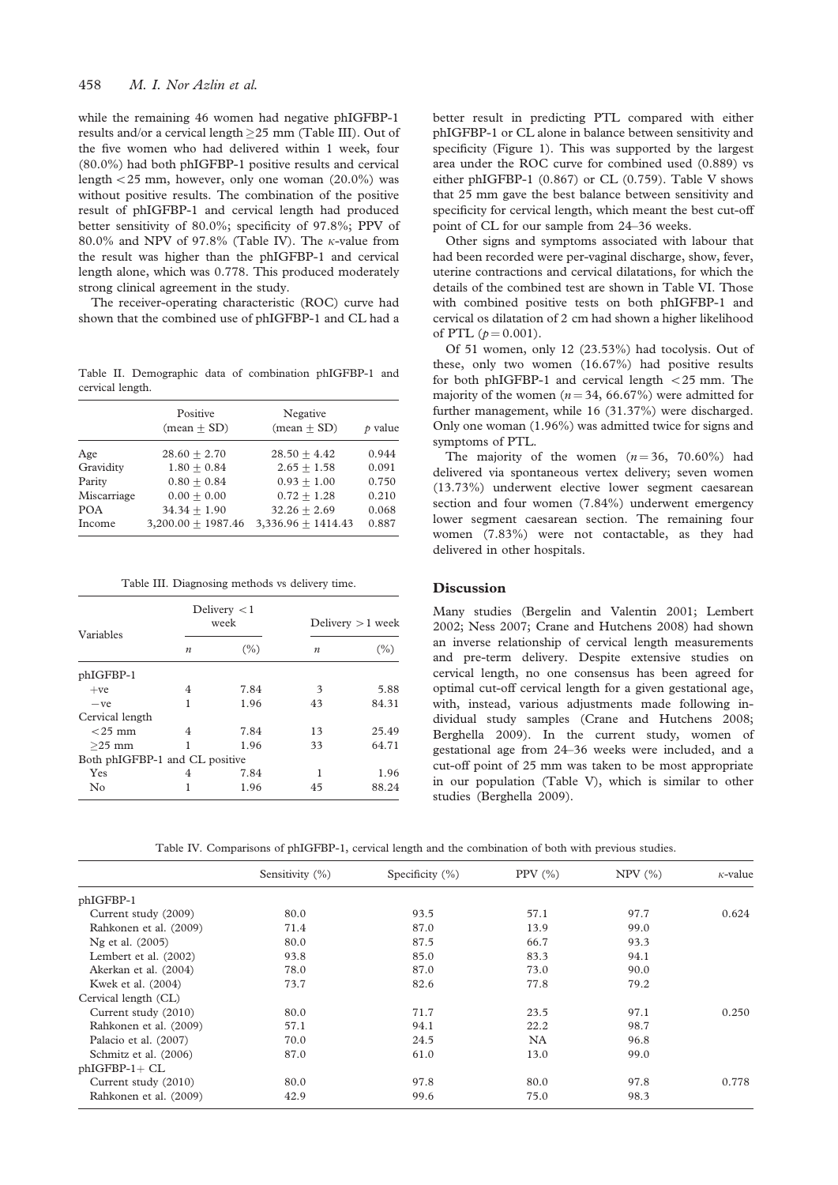while the remaining 46 women had negative phIGFBP-1 results and/or a cervical length  $\geq$ 25 mm (Table III). Out of the five women who had delivered within 1 week, four (80.0%) had both phIGFBP-1 positive results and cervical length  $<$  25 mm, however, only one woman (20.0%) was without positive results. The combination of the positive result of phIGFBP-1 and cervical length had produced better sensitivity of 80.0%; specificity of 97.8%; PPV of 80.0% and NPV of 97.8% (Table IV). The  $\kappa$ -value from the result was higher than the phIGFBP-1 and cervical length alone, which was 0.778. This produced moderately strong clinical agreement in the study.

The receiver-operating characteristic (ROC) curve had shown that the combined use of phIGFBP-1 and CL had a

Table II. Demographic data of combination phIGFBP-1 and cervical length.

|             | Positive<br>$(mean + SD)$ | Negative<br>$(mean + SD)$ | $\rho$ value |
|-------------|---------------------------|---------------------------|--------------|
| Age         | $28.60 + 2.70$            | $28.50 + 4.42$            | 0.944        |
| Gravidity   | $1.80 + 0.84$             | $2.65 + 1.58$             | 0.091        |
| Parity      | $0.80 + 0.84$             | $0.93 + 1.00$             | 0.750        |
| Miscarriage | $0.00 + 0.00$             | $0.72 + 1.28$             | 0.210        |
| <b>POA</b>  | $34.34 + 1.90$            | $32.26 + 2.69$            | 0.068        |
| Income      | $3,200.00 + 1987.46$      | $3,336.96 + 1414.43$      | 0.887        |

Table III. Diagnosing methods vs delivery time.

| Variables                      |                  | Delivery $<$ 1<br>week | Delivery $>1$ week |       |  |
|--------------------------------|------------------|------------------------|--------------------|-------|--|
|                                | $\boldsymbol{n}$ | $(\% )$                | $\boldsymbol{n}$   | (%)   |  |
| phIGFBP-1                      |                  |                        |                    |       |  |
| $+ve$                          | 4                | 7.84                   | 3                  | 5.88  |  |
| $-ve$                          | 1                | 1.96                   | 43                 | 84.31 |  |
| Cervical length                |                  |                        |                    |       |  |
| $<$ 25 mm                      | 4                | 7.84                   | 13                 | 25.49 |  |
| $>25$ mm                       |                  | 1.96                   | 33                 | 64.71 |  |
| Both phIGFBP-1 and CL positive |                  |                        |                    |       |  |
| Yes                            | 4                | 7.84                   |                    | 1.96  |  |
| $\rm No$                       |                  | 1.96                   | 45                 | 88.24 |  |

better result in predicting PTL compared with either phIGFBP-1 or CL alone in balance between sensitivity and specificity (Figure 1). This was supported by the largest area under the ROC curve for combined used (0.889) vs either phIGFBP-1 (0.867) or CL (0.759). Table V shows that 25 mm gave the best balance between sensitivity and specificity for cervical length, which meant the best cut-off point of CL for our sample from 24–36 weeks.

Other signs and symptoms associated with labour that had been recorded were per-vaginal discharge, show, fever, uterine contractions and cervical dilatations, for which the details of the combined test are shown in Table VI. Those with combined positive tests on both phIGFBP-1 and cervical os dilatation of 2 cm had shown a higher likelihood of PTL  $(p = 0.001)$ .

Of 51 women, only 12 (23.53%) had tocolysis. Out of these, only two women (16.67%) had positive results for both phIGFBP-1 and cervical length  $<$  25 mm. The majority of the women ( $n = 34, 66.67\%$ ) were admitted for further management, while 16 (31.37%) were discharged. Only one woman (1.96%) was admitted twice for signs and symptoms of PTL.

The majority of the women  $(n = 36, 70.60\%)$  had delivered via spontaneous vertex delivery; seven women (13.73%) underwent elective lower segment caesarean section and four women (7.84%) underwent emergency lower segment caesarean section. The remaining four women (7.83%) were not contactable, as they had delivered in other hospitals.

# **Discussion**

Many studies (Bergelin and Valentin 2001; Lembert 2002; Ness 2007; Crane and Hutchens 2008) had shown an inverse relationship of cervical length measurements and pre-term delivery. Despite extensive studies on cervical length, no one consensus has been agreed for optimal cut-off cervical length for a given gestational age, with, instead, various adjustments made following individual study samples (Crane and Hutchens 2008; Berghella 2009). In the current study, women of gestational age from 24–36 weeks were included, and a cut-off point of 25 mm was taken to be most appropriate in our population (Table V), which is similar to other studies (Berghella 2009).

Table IV. Comparisons of phIGFBP-1, cervical length and the combination of both with previous studies.

|                        | Sensitivity (%) | Specificity $(\%)$ | PPV $(\% )$ | $NPV$ $(\%)$ | $\kappa$ -value |
|------------------------|-----------------|--------------------|-------------|--------------|-----------------|
| phIGFBP-1              |                 |                    |             |              |                 |
| Current study (2009)   | 80.0            | 93.5               | 57.1        | 97.7         | 0.624           |
| Rahkonen et al. (2009) | 71.4            | 87.0               | 13.9        | 99.0         |                 |
| Ng et al. (2005)       | 80.0            | 87.5               | 66.7        | 93.3         |                 |
| Lembert et al. (2002)  | 93.8            | 85.0               | 83.3        | 94.1         |                 |
| Akerkan et al. (2004)  | 78.0            | 87.0               | 73.0        | 90.0         |                 |
| Kwek et al. (2004)     | 73.7            | 82.6               | 77.8        | 79.2         |                 |
| Cervical length (CL)   |                 |                    |             |              |                 |
| Current study (2010)   | 80.0            | 71.7               | 23.5        | 97.1         | 0.250           |
| Rahkonen et al. (2009) | 57.1            | 94.1               | 22.2        | 98.7         |                 |
| Palacio et al. (2007)  | 70.0            | 24.5               | <b>NA</b>   | 96.8         |                 |
| Schmitz et al. (2006)  | 87.0            | 61.0               | 13.0        | 99.0         |                 |
| $phIGFBP-1+ CL$        |                 |                    |             |              |                 |
| Current study (2010)   | 80.0            | 97.8               | 80.0        | 97.8         | 0.778           |
| Rahkonen et al. (2009) | 42.9            | 99.6               | 75.0        | 98.3         |                 |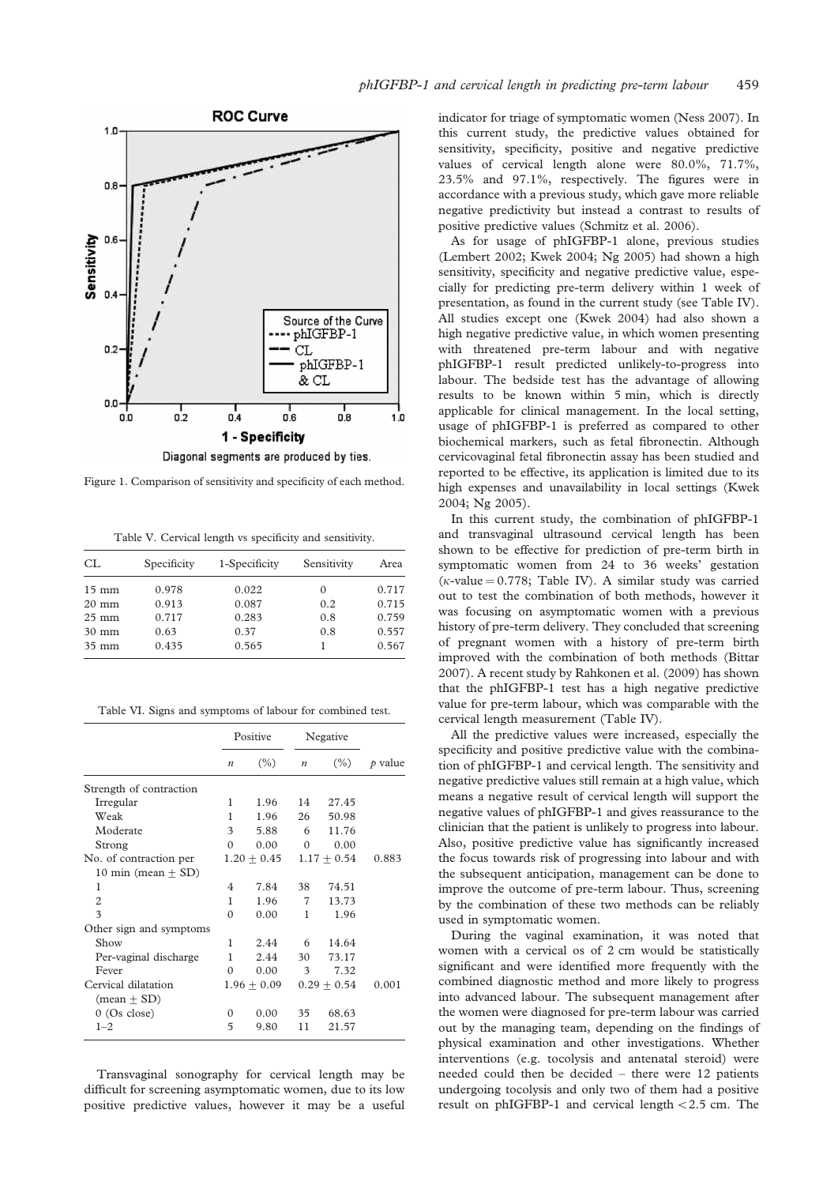

accordance with a previous study, which gave more reliable negative predictivity but instead a contrast to results of

As for usage of phIGFBP-1 alone, previous studies (Lembert 2002; Kwek 2004; Ng 2005) had shown a high sensitivity, specificity and negative predictive value, especially for predicting pre-term delivery within 1 week of presentation, as found in the current study (see Table IV). All studies except one (Kwek 2004) had also shown a high negative predictive value, in which women presenting with threatened pre-term labour and with negative phIGFBP-1 result predicted unlikely-to-progress into labour. The bedside test has the advantage of allowing results to be known within 5 min, which is directly applicable for clinical management. In the local setting, usage of phIGFBP-1 is preferred as compared to other biochemical markers, such as fetal fibronectin. Although cervicovaginal fetal fibronectin assay has been studied and reported to be effective, its application is limited due to its high expenses and unavailability in local settings (Kwek 2004; Ng 2005).

In this current study, the combination of phIGFBP-1 and transvaginal ultrasound cervical length has been shown to be effective for prediction of pre-term birth in symptomatic women from 24 to 36 weeks' gestation ( $\kappa$ -value = 0.778; Table IV). A similar study was carried out to test the combination of both methods, however it was focusing on asymptomatic women with a previous history of pre-term delivery. They concluded that screening of pregnant women with a history of pre-term birth improved with the combination of both methods (Bittar 2007). A recent study by Rahkonen et al. (2009) has shown that the phIGFBP-1 test has a high negative predictive value for pre-term labour, which was comparable with the cervical length measurement (Table IV).

All the predictive values were increased, especially the specificity and positive predictive value with the combination of phIGFBP-1 and cervical length. The sensitivity and negative predictive values still remain at a high value, which means a negative result of cervical length will support the negative values of phIGFBP-1 and gives reassurance to the clinician that the patient is unlikely to progress into labour. Also, positive predictive value has significantly increased the focus towards risk of progressing into labour and with the subsequent anticipation, management can be done to improve the outcome of pre-term labour. Thus, screening by the combination of these two methods can be reliably used in symptomatic women.

During the vaginal examination, it was noted that women with a cervical os of 2 cm would be statistically significant and were identified more frequently with the combined diagnostic method and more likely to progress into advanced labour. The subsequent management after the women were diagnosed for pre-term labour was carried out by the managing team, depending on the findings of physical examination and other investigations. Whether interventions (e.g. tocolysis and antenatal steroid) were needed could then be decided – there were 12 patients undergoing tocolysis and only two of them had a positive result on phIGFBP-1 and cervical length  $< 2.5$  cm. The

Figure 1. Comparison of sensitivity and specificity of each method.

Table V. Cervical length vs specificity and sensitivity.

| CL              | Specificity | 1-Specificity | Sensitivity | Area  |
|-----------------|-------------|---------------|-------------|-------|
| $15 \text{ mm}$ | 0.978       | 0.022         | $\Omega$    | 0.717 |
| $20 \text{ mm}$ | 0.913       | 0.087         | 0.2         | 0.715 |
| $25 \text{ mm}$ | 0.717       | 0.283         | 0.8         | 0.759 |
| $30 \text{ mm}$ | 0.63        | 0.37          | 0.8         | 0.557 |
| $35 \text{ mm}$ | 0.435       | 0.565         |             | 0.567 |

Table VI. Signs and symptoms of labour for combined test.

|                         | Positive         |               | Negative         |               |              |
|-------------------------|------------------|---------------|------------------|---------------|--------------|
|                         | $\boldsymbol{n}$ | $(\%)$        | $\boldsymbol{n}$ | $(\% )$       | $\rho$ value |
| Strength of contraction |                  |               |                  |               |              |
| Irregular               | 1                | 1.96          | 14               | 27.45         |              |
| Weak                    | 1                | 1.96          | 26               | 50.98         |              |
| Moderate                | 3                | 5.88          | 6                | 11.76         |              |
| Strong                  | $\Omega$         | 0.00          | $\Omega$         | 0.00          |              |
| No. of contraction per  |                  | $1.20 + 0.45$ |                  | $1.17 + 0.54$ | 0.883        |
| 10 min (mean $\pm$ SD)  |                  |               |                  |               |              |
| 1                       | 4                | 7.84          | 38               | 74.51         |              |
| $\overline{2}$          | 1                | 1.96          | 7                | 13.73         |              |
| 3                       | $\Omega$         | 0.00          | 1                | 1.96          |              |
| Other sign and symptoms |                  |               |                  |               |              |
| Show                    | 1                | 2.44          | 6                | 14.64         |              |
| Per-vaginal discharge   | 1                | 2.44          | 30               | 73.17         |              |
| Fever                   | $\Omega$         | 0.00          | 3                | 7.32          |              |
| Cervical dilatation     |                  | $1.96 + 0.09$ |                  | $0.29 + 0.54$ | 0.001        |
| $(mean \pm SD)$         |                  |               |                  |               |              |
| $0$ (Os close)          | $\Omega$         | 0.00          | 35               | 68.63         |              |
| $1 - 2$                 | 5                | 9.80          | 11               | 21.57         |              |

Transvaginal sonography for cervical length may be difficult for screening asymptomatic women, due to its low positive predictive values, however it may be a useful positive predictive values (Schmitz et al. 2006).

indicator for triage of symptomatic women (Ness 2007). In this current study, the predictive values obtained for sensitivity, specificity, positive and negative predictive values of cervical length alone were 80.0%, 71.7%, 23.5% and 97.1%, respectively. The figures were in